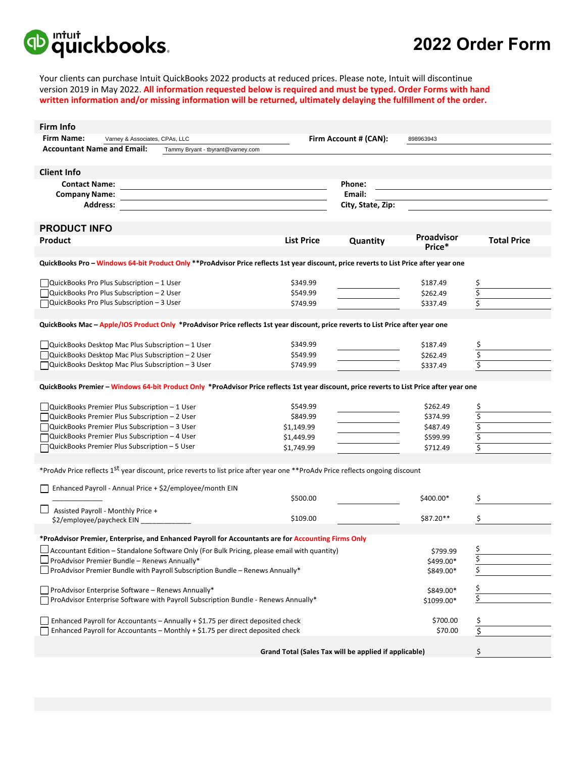

**Firm Info** 

## **2022 Order Form**

Your clients can purchase Intuit QuickBooks 2022 products at reduced prices. Please note, Intuit will discontinue version 2019 in May 2022. **All information requested below is required and must be typed. Order Forms with hand written information and/or missing information will be returned, ultimately delaying the fulfillment of the order.** 

| Firm Into                                                                                                                                 |                                                                                |                   |                                    |            |                    |  |  |  |  |
|-------------------------------------------------------------------------------------------------------------------------------------------|--------------------------------------------------------------------------------|-------------------|------------------------------------|------------|--------------------|--|--|--|--|
| <b>Firm Name:</b><br>Varney & Associates, CPAs, LLC                                                                                       |                                                                                |                   | Firm Account # (CAN):<br>898963943 |            |                    |  |  |  |  |
| <b>Accountant Name and Email:</b>                                                                                                         | Tammy Bryant - tbyrant@varney.com                                              |                   |                                    |            |                    |  |  |  |  |
|                                                                                                                                           |                                                                                |                   |                                    |            |                    |  |  |  |  |
|                                                                                                                                           |                                                                                |                   |                                    |            |                    |  |  |  |  |
| <b>Client Info</b>                                                                                                                        |                                                                                |                   |                                    |            |                    |  |  |  |  |
| <b>Contact Name:</b>                                                                                                                      |                                                                                |                   | Phone:                             |            |                    |  |  |  |  |
| <b>Company Name:</b>                                                                                                                      |                                                                                |                   | Email:                             |            |                    |  |  |  |  |
| <b>Address:</b>                                                                                                                           |                                                                                |                   | City, State, Zip:                  |            |                    |  |  |  |  |
|                                                                                                                                           |                                                                                |                   |                                    |            |                    |  |  |  |  |
| <b>PRODUCT INFO</b>                                                                                                                       |                                                                                |                   |                                    |            |                    |  |  |  |  |
|                                                                                                                                           |                                                                                |                   |                                    | Proadvisor |                    |  |  |  |  |
| Product                                                                                                                                   |                                                                                | <b>List Price</b> | Quantity                           | Price*     | <b>Total Price</b> |  |  |  |  |
|                                                                                                                                           |                                                                                |                   |                                    |            |                    |  |  |  |  |
| QuickBooks Pro - Windows 64-bit Product Only ** ProAdvisor Price reflects 1st year discount, price reverts to List Price after year one   |                                                                                |                   |                                    |            |                    |  |  |  |  |
|                                                                                                                                           |                                                                                |                   |                                    |            |                    |  |  |  |  |
| QuickBooks Pro Plus Subscription - 1 User                                                                                                 |                                                                                | \$349.99          |                                    | \$187.49   | Ş                  |  |  |  |  |
| QuickBooks Pro Plus Subscription - 2 User                                                                                                 |                                                                                | \$549.99          |                                    | \$262.49   | \$                 |  |  |  |  |
| □QuickBooks Pro Plus Subscription - 3 User                                                                                                |                                                                                | \$749.99          |                                    | \$337.49   | \$                 |  |  |  |  |
|                                                                                                                                           |                                                                                |                   |                                    |            |                    |  |  |  |  |
| QuickBooks Mac - Apple/IOS Product Only *ProAdvisor Price reflects 1st year discount, price reverts to List Price after year one          |                                                                                |                   |                                    |            |                    |  |  |  |  |
|                                                                                                                                           |                                                                                |                   |                                    |            |                    |  |  |  |  |
| $\Box$ QuickBooks Desktop Mac Plus Subscription – 1 User                                                                                  |                                                                                | \$349.99          |                                    | \$187.49   | \$                 |  |  |  |  |
| QuickBooks Desktop Mac Plus Subscription - 2 User                                                                                         |                                                                                | \$549.99          |                                    | \$262.49   | \$                 |  |  |  |  |
| □ QuickBooks Desktop Mac Plus Subscription – 3 User                                                                                       |                                                                                | \$749.99          |                                    |            |                    |  |  |  |  |
|                                                                                                                                           |                                                                                |                   |                                    | \$337.49   |                    |  |  |  |  |
|                                                                                                                                           |                                                                                |                   |                                    |            |                    |  |  |  |  |
| QuickBooks Premier - Windows 64-bit Product Only *ProAdvisor Price reflects 1st year discount, price reverts to List Price after year one |                                                                                |                   |                                    |            |                    |  |  |  |  |
|                                                                                                                                           |                                                                                |                   |                                    |            |                    |  |  |  |  |
| $\Box$ QuickBooks Premier Plus Subscription – 1 User                                                                                      |                                                                                | \$549.99          |                                    | \$262.49   | \$                 |  |  |  |  |
| QuickBooks Premier Plus Subscription - 2 User                                                                                             |                                                                                | \$849.99          |                                    | \$374.99   | \$                 |  |  |  |  |
| QuickBooks Premier Plus Subscription – 3 User                                                                                             |                                                                                | \$1,149.99        |                                    | \$487.49   | \$                 |  |  |  |  |
| QuickBooks Premier Plus Subscription - 4 User                                                                                             |                                                                                | \$1,449.99        |                                    | \$599.99   | \$                 |  |  |  |  |
| □ QuickBooks Premier Plus Subscription - 5 User                                                                                           |                                                                                | \$1,749.99        |                                    | \$712.49   | \$                 |  |  |  |  |
|                                                                                                                                           |                                                                                |                   |                                    |            |                    |  |  |  |  |
| *ProAdv Price reflects 1 <sup>St</sup> year discount, price reverts to list price after year one **ProAdv Price reflects ongoing discount |                                                                                |                   |                                    |            |                    |  |  |  |  |
|                                                                                                                                           |                                                                                |                   |                                    |            |                    |  |  |  |  |
| Enhanced Payroll - Annual Price + \$2/employee/month EIN                                                                                  |                                                                                |                   |                                    |            |                    |  |  |  |  |
|                                                                                                                                           |                                                                                | \$500.00          |                                    | \$400.00*  |                    |  |  |  |  |
|                                                                                                                                           |                                                                                |                   |                                    |            |                    |  |  |  |  |
| Assisted Payroll - Monthly Price +                                                                                                        |                                                                                | \$109.00          |                                    | \$87.20**  | \$                 |  |  |  |  |
| \$2/employee/paycheck EIN                                                                                                                 |                                                                                |                   |                                    |            |                    |  |  |  |  |
|                                                                                                                                           |                                                                                |                   |                                    |            |                    |  |  |  |  |
| *ProAdvisor Premier, Enterprise, and Enhanced Payroll for Accountants are for Accounting Firms Only                                       |                                                                                |                   |                                    |            |                    |  |  |  |  |
| $\Box$ Accountant Edition – Standalone Software Only (For Bulk Pricing, please email with quantity)                                       |                                                                                |                   |                                    | \$799.99   | \$                 |  |  |  |  |
| ProAdvisor Premier Bundle - Renews Annually*                                                                                              |                                                                                |                   |                                    | \$499.00*  | \$                 |  |  |  |  |
| $\Box$ ProAdvisor Premier Bundle with Payroll Subscription Bundle – Renews Annually*                                                      |                                                                                |                   |                                    | \$849.00*  | \$                 |  |  |  |  |
|                                                                                                                                           |                                                                                |                   |                                    |            |                    |  |  |  |  |
| $\Box$ ProAdvisor Enterprise Software - Renews Annually*                                                                                  |                                                                                |                   |                                    | \$849.00*  | \$                 |  |  |  |  |
| ProAdvisor Enterprise Software with Payroll Subscription Bundle - Renews Annually*                                                        |                                                                                |                   |                                    | \$1099.00* | \$                 |  |  |  |  |
|                                                                                                                                           |                                                                                |                   |                                    |            |                    |  |  |  |  |
| Enhanced Payroll for Accountants - Annually + \$1.75 per direct deposited check                                                           |                                                                                |                   |                                    | \$700.00   | \$                 |  |  |  |  |
|                                                                                                                                           | Enhanced Payroll for Accountants - Monthly + \$1.75 per direct deposited check |                   |                                    | \$70.00    | \$                 |  |  |  |  |
|                                                                                                                                           |                                                                                |                   |                                    |            |                    |  |  |  |  |
| Grand Total (Sales Tax will be applied if applicable)<br>\$                                                                               |                                                                                |                   |                                    |            |                    |  |  |  |  |
|                                                                                                                                           |                                                                                |                   |                                    |            |                    |  |  |  |  |